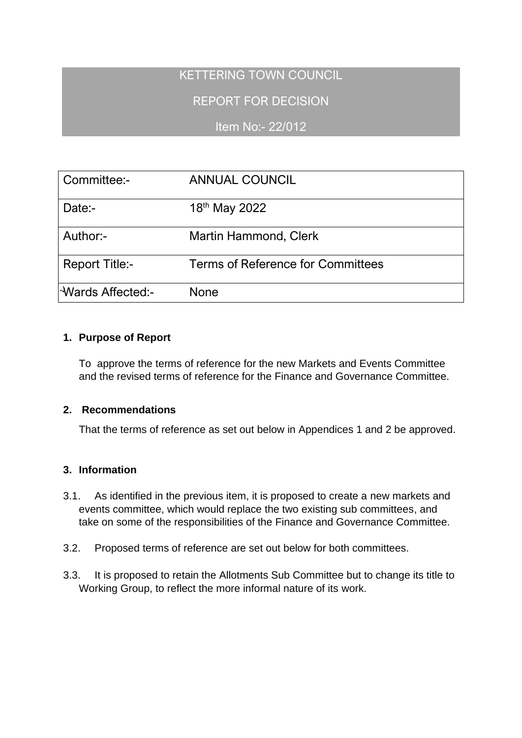# KETTERING TOWN COUNCIL

REPORT FOR DECISION

Item No:- 22/012

| Committee:-                     | <b>ANNUAL COUNCIL</b>             |
|---------------------------------|-----------------------------------|
| Date:-                          | 18th May 2022                     |
| Author:-                        | <b>Martin Hammond, Clerk</b>      |
| <b>Report Title:-</b>           | Terms of Reference for Committees |
| l <sup>-</sup> Wards Affected:- | None                              |

## **1. Purpose of Report**

To approve the terms of reference for the new Markets and Events Committee and the revised terms of reference for the Finance and Governance Committee.

## **2. Recommendations**

That the terms of reference as set out below in Appendices 1 and 2 be approved.

## **3. Information**

- 3.1. As identified in the previous item, it is proposed to create a new markets and events committee, which would replace the two existing sub committees, and take on some of the responsibilities of the Finance and Governance Committee.
- 3.2. Proposed terms of reference are set out below for both committees.
- 3.3. It is proposed to retain the Allotments Sub Committee but to change its title to Working Group, to reflect the more informal nature of its work.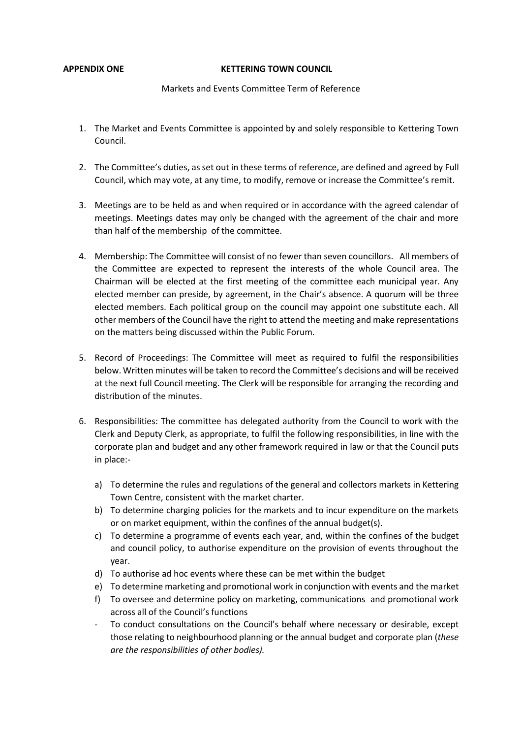#### **APPENDIX ONE KETTERING TOWN COUNCIL**

### Markets and Events Committee Term of Reference

- 1. The Market and Events Committee is appointed by and solely responsible to Kettering Town Council.
- 2. The Committee's duties, as set out in these terms of reference, are defined and agreed by Full Council, which may vote, at any time, to modify, remove or increase the Committee's remit.
- 3. Meetings are to be held as and when required or in accordance with the agreed calendar of meetings. Meetings dates may only be changed with the agreement of the chair and more than half of the membership of the committee.
- 4. Membership: The Committee will consist of no fewer than seven councillors. All members of the Committee are expected to represent the interests of the whole Council area. The Chairman will be elected at the first meeting of the committee each municipal year. Any elected member can preside, by agreement, in the Chair's absence. A quorum will be three elected members. Each political group on the council may appoint one substitute each. All other members of the Council have the right to attend the meeting and make representations on the matters being discussed within the Public Forum.
- 5. Record of Proceedings: The Committee will meet as required to fulfil the responsibilities below. Written minutes will be taken to record the Committee's decisions and will be received at the next full Council meeting. The Clerk will be responsible for arranging the recording and distribution of the minutes.
- 6. Responsibilities: The committee has delegated authority from the Council to work with the Clerk and Deputy Clerk, as appropriate, to fulfil the following responsibilities, in line with the corporate plan and budget and any other framework required in law or that the Council puts in place:
	- a) To determine the rules and regulations of the general and collectors markets in Kettering Town Centre, consistent with the market charter.
	- b) To determine charging policies for the markets and to incur expenditure on the markets or on market equipment, within the confines of the annual budget(s).
	- c) To determine a programme of events each year, and, within the confines of the budget and council policy, to authorise expenditure on the provision of events throughout the year.
	- d) To authorise ad hoc events where these can be met within the budget
	- e) To determine marketing and promotional work in conjunction with events and the market
	- f) To oversee and determine policy on marketing, communications and promotional work across all of the Council's functions
	- To conduct consultations on the Council's behalf where necessary or desirable, except those relating to neighbourhood planning or the annual budget and corporate plan (*these are the responsibilities of other bodies).*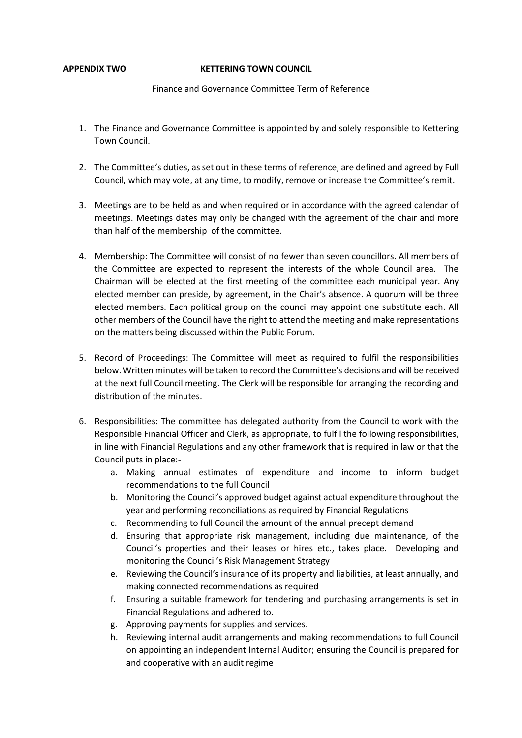#### **APPENDIX TWO KETTERING TOWN COUNCIL**

### Finance and Governance Committee Term of Reference

- 1. The Finance and Governance Committee is appointed by and solely responsible to Kettering Town Council.
- 2. The Committee's duties, as set out in these terms of reference, are defined and agreed by Full Council, which may vote, at any time, to modify, remove or increase the Committee's remit.
- 3. Meetings are to be held as and when required or in accordance with the agreed calendar of meetings. Meetings dates may only be changed with the agreement of the chair and more than half of the membership of the committee.
- 4. Membership: The Committee will consist of no fewer than seven councillors. All members of the Committee are expected to represent the interests of the whole Council area. The Chairman will be elected at the first meeting of the committee each municipal year. Any elected member can preside, by agreement, in the Chair's absence. A quorum will be three elected members. Each political group on the council may appoint one substitute each. All other members of the Council have the right to attend the meeting and make representations on the matters being discussed within the Public Forum.
- 5. Record of Proceedings: The Committee will meet as required to fulfil the responsibilities below. Written minutes will be taken to record the Committee's decisions and will be received at the next full Council meeting. The Clerk will be responsible for arranging the recording and distribution of the minutes.
- 6. Responsibilities: The committee has delegated authority from the Council to work with the Responsible Financial Officer and Clerk, as appropriate, to fulfil the following responsibilities, in line with Financial Regulations and any other framework that is required in law or that the Council puts in place:
	- a. Making annual estimates of expenditure and income to inform budget recommendations to the full Council
	- b. Monitoring the Council's approved budget against actual expenditure throughout the year and performing reconciliations as required by Financial Regulations
	- c. Recommending to full Council the amount of the annual precept demand
	- d. Ensuring that appropriate risk management, including due maintenance, of the Council's properties and their leases or hires etc., takes place. Developing and monitoring the Council's Risk Management Strategy
	- e. Reviewing the Council's insurance of its property and liabilities, at least annually, and making connected recommendations as required
	- f. Ensuring a suitable framework for tendering and purchasing arrangements is set in Financial Regulations and adhered to.
	- g. Approving payments for supplies and services.
	- h. Reviewing internal audit arrangements and making recommendations to full Council on appointing an independent Internal Auditor; ensuring the Council is prepared for and cooperative with an audit regime